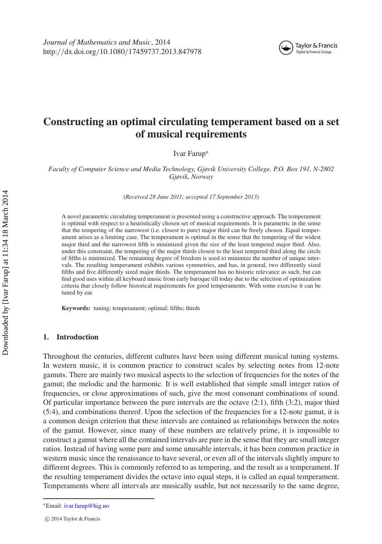

# **Constructing an optimal circulating temperament based on a set of musical requirements**

Ivar Farup[∗](#page-0-0)

*Faculty of Computer Science and Media Technology, Gjøvik University College, P.O. Box 191, N-2802 Gjøvik, Norway*

(*Received 28 June 2011; accepted 17 September 2013*)

A novel parametric circulating temperament is presented using a constructive approach. The temperament is optimal with respect to a heuristically chosen set of musical requirements. It is parametric in the sense that the tempering of the narrowest (i.e. closest to pure) major third can be freely chosen. Equal temperament arises as a limiting case. The temperament is optimal in the sense that the tempering of the widest major third and the narrowest fifth is minimized given the size of the least tempered major third. Also, under this constraint, the tempering of the major thirds closest to the least tempered third along the circle of fifths is minimized. The remaining degree of freedom is used to minimize the number of unique intervals. The resulting temperament exhibits various symmetries, and has, in general, two differently sized fifths and five differently sized major thirds. The temperament has no historic relevance as such, but can find good uses within all keyboard music from early baroque till today due to the selection of optimization criteria that closely follow historical requirements for good temperaments. With some exercise it can be tuned by ear.

**Keywords:** tuning; temperament; optimal; fifths; thirds

## <span id="page-0-1"></span>**1. Introduction**

Throughout the centuries, different cultures have been using different musical tuning systems. In western music, it is common practice to construct scales by selecting notes from 12-note gamuts. There are mainly two musical aspects to the selection of frequencies for the notes of the gamut; the melodic and the harmonic. It is well established that simple small integer ratios of frequencies, or close approximations of such, give the most consonant combinations of sound. Of particular importance between the pure intervals are the octave (2:1), fifth (3:2), major third (5:4), and combinations thereof. Upon the selection of the frequencies for a 12-note gamut, it is a common design criterion that these intervals are contained as relationships between the notes of the gamut. However, since many of these numbers are relatively prime, it is impossible to construct a gamut where all the contained intervals are pure in the sense that they are small integer ratios. Instead of having some pure and some unusable intervals, it has been common practice in western music since the renaissance to have several, or even all of the intervals slightly impure to different degrees. This is commonly referred to as tempering, and the result as a temperament. If the resulting temperament divides the octave into equal steps, it is called an equal temperament. Temperaments where all intervals are musically usable, but not necessarily to the same degree,

<span id="page-0-0"></span><sup>∗</sup>Email: [ivar.farup@hig.no](mailto:ivar.farup@hig.no)

c 2014 Taylor & Francis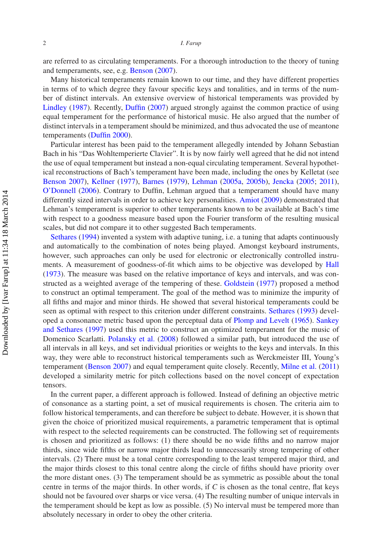are referred to as circulating temperaments. For a thorough introduction to the theory of tuning and temperaments, see, e.g. [Benson](#page-13-0) [\(2007](#page-13-0)).

Many historical temperaments remain known to our time, and they have different properties in terms of to which degree they favour specific keys and tonalities, and in terms of the number of distinct intervals. An extensive overview of historical temperaments was provided by [Lindley](#page-13-1) [\(1987\)](#page-13-1). Recently, [Duffin](#page-13-2) [\(2007](#page-13-2)) argued strongly against the common practice of using equal temperament for the performance of historical music. He also argued that the number of distinct intervals in a temperament should be minimized, and thus advocated the use of meantone temperaments [\(Duffin 2000](#page-13-3)).

Particular interest has been paid to the temperament allegedly intended by Johann Sebastian Bach in his "Das Wohltemperierte Clavier". It is by now fairly well agreed that he did not intend the use of equal temperament but instead a non-equal circulating temperament. Several hypothetical reconstructions of Bach's temperament have been made, including the ones by Kelletat (see [Benson 2007\)](#page-13-0), [Kellner](#page-13-4) [\(1977\)](#page-13-4), [Barnes](#page-13-5) [\(1979\)](#page-13-5), [Lehman](#page-13-6) [\(2005a](#page-13-6), [2005b\)](#page-13-7), [Jencka](#page-13-8) [\(2005](#page-13-8); [2011](#page-13-9)), [O'Donnell](#page-13-10) [\(2006\)](#page-13-10). Contrary to Duffin, Lehman argued that a temperament should have many differently sized intervals in order to achieve key personalities. [Amiot](#page-13-11) [\(2009\)](#page-13-11) demonstrated that Lehman's temperament is superior to other temperaments known to be available at Bach's time with respect to a goodness measure based upon the Fourier transform of the resulting musical scales, but did not compare it to other suggested Bach temperaments.

Sethares [\(1994\)](#page-14-0) invented a system with adaptive tuning, i.e. a tuning that adapts continuously and automatically to the combination of notes being played. Amongst keyboard instruments, however, such approaches can only be used for electronic or electronically controlled instruments. A measurement of goodness-of-fit which aims to be objective was developed by [Hall](#page-13-12) [\(1973\)](#page-13-12). The measure was based on the relative importance of keys and intervals, and was constructed as a weighted average of the tempering of these. [Goldstein](#page-13-13) [\(1977\)](#page-13-13) proposed a method to construct an optimal temperament. The goal of the method was to minimize the impurity of all fifths and major and minor thirds. He showed that several historical temperaments could be seen as optimal with respect to this criterion under different constraints. [Sethares](#page-14-1) [\(1993\)](#page-14-1) developed a cons[onance metric based upon the perceptual data of](#page-14-2) [Plomp and Levelt](#page-13-14) [\(1965\)](#page-13-14). Sankey and Sethares [\(1997\)](#page-14-2) used this metric to construct an optimized temperament for the music of Domenico Scarlatti. [Polansky et al.](#page-14-3) [\(2008\)](#page-14-3) followed a similar path, but introduced the use of all intervals in all keys, and set individual priorities or weights to the keys and intervals. In this way, they were able to reconstruct historical temperaments such as Werckmeister III, Young's temperament [\(Benson 2007\)](#page-13-0) and equal temperament quite closely. Recently, [Milne et al.](#page-13-15) [\(2011\)](#page-13-15) developed a similarity metric for pitch collections based on the novel concept of expectation tensors.

In the current paper, a different approach is followed. Instead of defining an objective metric of consonance as a starting point, a set of musical requirements is chosen. The criteria aim to follow historical temperaments, and can therefore be subject to debate. However, it is shown that given the choice of prioritized musical requirements, a parametric temperament that is optimal with respect to the selected requirements can be constructed. The following set of requirements is chosen and prioritized as follows: (1) there should be no wide fifths and no narrow major thirds, since wide fifths or narrow major thirds lead to unnecessarily strong tempering of other intervals. (2) There must be a tonal centre corresponding to the least tempered major third, and the major thirds closest to this tonal centre along the circle of fifths should have priority over the more distant ones. (3) The temperament should be as symmetric as possible about the tonal centre in terms of the major thirds. In other words, if *C* is chosen as the tonal centre, flat keys should not be favoured over sharps or vice versa. (4) The resulting number of unique intervals in the temperament should be kept as low as possible. (5) No interval must be tempered more than absolutely necessary in order to obey the other criteria.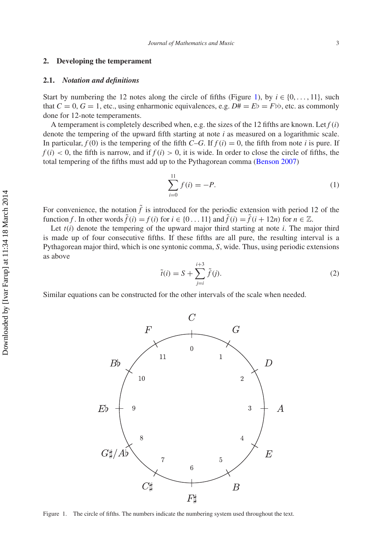## **2. Developing the temperament**

## **2.1.** *Notation and definitions*

Start by numbering the 12 notes along the circle of fifths (Figure [1\)](#page-2-0), by  $i \in \{0, \ldots, 11\}$ , such that  $C = 0$ ,  $G = 1$ , etc., using enharmonic equivalences, e.g.  $D \# = E \flat = F \flat \flat$ , etc. as commonly done for 12-note temperaments.

A temperament is completely described when, e.g. the sizes of the 12 fifths are known. Let *f* (*i*) denote the tempering of the upward fifth starting at note *i* as measured on a logarithmic scale. In particular,  $f(0)$  is the tempering of the fifth  $C-G$ . If  $f(i) = 0$ , the fifth from note *i* is pure. If  $f(i) < 0$ , the fifth is narrow, and if  $f(i) > 0$ , it is wide. In order to close the circle of fifths, the total tempering of the fifths must add up to the Pythagorean comma [\(Benson 2007](#page-13-0))

<span id="page-2-1"></span>
$$
\sum_{i=0}^{11} f(i) = -P.
$$
 (1)

For convenience, the notation  $\tilde{f}$  is introduced for the periodic extension with period 12 of the function *f*. In other words  $\tilde{f}(i) = f(i)$  for  $i \in \{0, 1, 1\}$  and  $\tilde{f}(i) = \tilde{f}(i + 12n)$  for  $n \in \mathbb{Z}$ .

Let  $t(i)$  denote the tempering of the upward major third starting at note  $i$ . The major third is made up of four consecutive fifths. If these fifths are all pure, the resulting interval is a Pythagorean major third, which is one syntonic comma, *S*, wide. Thus, using periodic extensions as above

<span id="page-2-2"></span>
$$
\tilde{t}(i) = S + \sum_{j=i}^{i+3} \tilde{f}(j).
$$
 (2)

Similar equations can be constructed for the other intervals of the scale when needed.



<span id="page-2-0"></span>Figure 1. The circle of fifths. The numbers indicate the numbering system used throughout the text.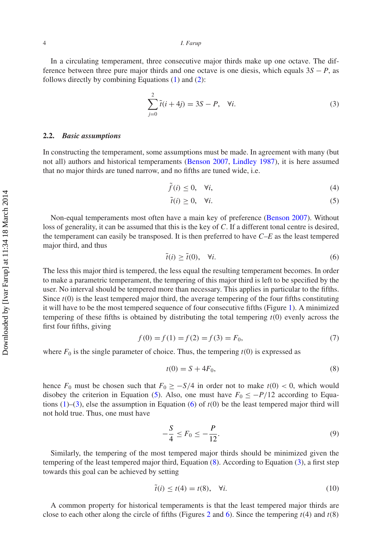#### 4 *I. Farup*

In a circulating temperament, three consecutive major thirds make up one octave. The difference between three pure major thirds and one octave is one diesis, which equals 3*S* − *P*, as follows directly by combining Equations [\(1\)](#page-2-1) and [\(2\)](#page-2-2):

<span id="page-3-1"></span>
$$
\sum_{j=0}^{2} \tilde{t}(i + 4j) = 3S - P, \quad \forall i.
$$
 (3)

#### <span id="page-3-6"></span>**2.2.** *Basic assumptions*

In constructing the temperament, some assumptions must be made. In agreement with many (but not all) authors and historical temperaments [\(Benson 2007,](#page-13-0) [Lindley 1987](#page-13-1)), it is here assumed that no major thirds are tuned narrow, and no fifths are tuned wide, i.e.

$$
\tilde{f}(i) \le 0, \quad \forall i,\tag{4}
$$

<span id="page-3-0"></span>
$$
\tilde{t}(i) \ge 0, \quad \forall i. \tag{5}
$$

Non-equal temperaments most often have a main key of preference [\(Benson 2007\)](#page-13-0). Without loss of generality, it can be assumed that this is the key of *C*. If a different tonal centre is desired, the temperament can easily be transposed. It is then preferred to have *C*–*E* as the least tempered major third, and thus

<span id="page-3-2"></span>
$$
\tilde{t}(i) \ge \tilde{t}(0), \quad \forall i. \tag{6}
$$

The less this major third is tempered, the less equal the resulting temperament becomes. In order to make a parametric temperament, the tempering of this major third is left to be specified by the user. No interval should be tempered more than necessary. This applies in particular to the fifths. Since *t*(0) is the least tempered major third, the average tempering of the four fifths constituting it will have to be the most tempered sequence of four consecutive fifths (Figure [1\)](#page-2-0). A minimized tempering of these fifths is obtained by distributing the total tempering *t*(0) evenly across the first four fifths, giving

<span id="page-3-5"></span>
$$
f(0) = f(1) = f(2) = f(3) = F_0,
$$
\n(7)

where  $F_0$  is the single parameter of choice. Thus, the tempering  $t(0)$  is expressed as

<span id="page-3-3"></span>
$$
t(0) = S + 4F_0,
$$
\n(8)

hence  $F_0$  must be chosen such that  $F_0 \ge -S/4$  in order not to make  $t(0) < 0$ , which would disobey the criterion in Equation [\(5\)](#page-3-0). Also, one must have  $F_0 \le -P/12$  according to Equations  $(1)$ – $(3)$ , else the assumption in Equation  $(6)$  of  $t(0)$  be the least tempered major third will not hold true. Thus, one must have

$$
-\frac{S}{4} \le F_0 \le -\frac{P}{12}.\tag{9}
$$

Similarly, the tempering of the most tempered major thirds should be minimized given the tempering of the least tempered major third, Equation [\(8\)](#page-3-3). According to Equation [\(3\)](#page-3-1), a first step towards this goal can be achieved by setting

<span id="page-3-4"></span>
$$
\tilde{t}(i) \le t(4) = t(8), \quad \forall i. \tag{10}
$$

A common property for historical temperaments is that the least tempered major thirds are close to each other along the circle of fifths (Figures [2](#page-4-0) and [6\)](#page-11-0). Since the tempering *t*(4) and *t*(8)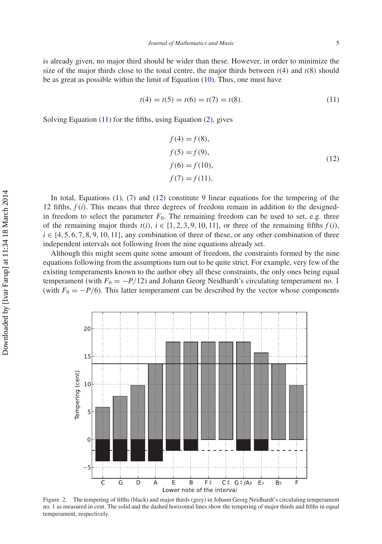is already given, no major third should be wider than these. However, in order to minimize the size of the major thirds close to the tonal centre, the major thirds between  $t(4)$  and  $t(8)$  should be as great as possible within the limit of Equation  $(10)$ . Thus, one must have

<span id="page-4-1"></span>
$$
t(4) = t(5) = t(6) = t(7) = t(8).
$$
\n(11)

Solving Equation [\(11\)](#page-4-1) for the fifths, using Equation [\(2\)](#page-2-2), gives

<span id="page-4-2"></span>
$$
f(4) = f(8),
$$
  
\n
$$
f(5) = f(9),
$$
  
\n
$$
f(6) = f(10),
$$
  
\n
$$
f(7) = f(11).
$$
  
\n(12)

In total, Equations [\(1\)](#page-2-1), [\(7\)](#page-3-5) and [\(12\)](#page-4-2) constitute 9 linear equations for the tempering of the 12 fifths,  $f(i)$ . This means that three degrees of freedom remain in addition to the designedin freedom to select the parameter  $F_0$ . The remaining freedom can be used to set, e.g. three of the remaining major thirds  $t(i)$ ,  $i \in \{1, 2, 3, 9, 10, 11\}$ , or three of the remaining fifths  $f(i)$ ,  $i \in \{4, 5, 6, 7, 8, 9, 10, 11\}$ , any combination of three of these, or any other combination of three independent intervals not following from the nine equations already set.

Although this might seem quite some amount of freedom, the constraints formed by the nine equations following from the assumptions turn out to be quite strict. For example, very few of the existing temperaments known to the author obey all these constraints, the only ones being equal temperament (with  $F_0 = -P/12$ ) and Johann Georg Neidhardt's circulating temperament no. 1 (with  $F_0 = -P/6$ ). This latter temperament can be described by the vector whose components



<span id="page-4-0"></span>Figure 2. The tempering of fifths (black) and major thirds (grey) in Johann Georg Neidhardt's circulating temperament no. 1 as measured in cent. The solid and the dashed horizontal lines show the tempering of major thirds and fifths in equal temperament, respectively.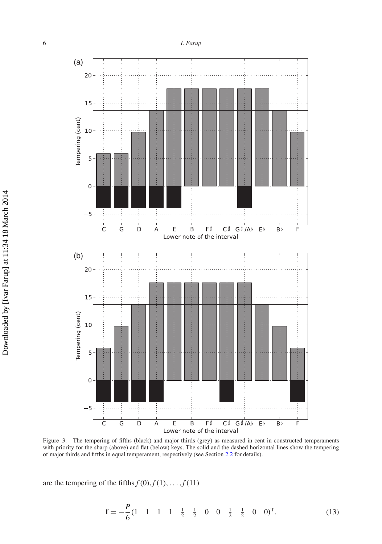

<span id="page-5-0"></span>Figure 3. The tempering of fifths (black) and major thirds (grey) as measured in cent in constructed temperaments with priority for the sharp (above) and flat (below) keys. The solid and the dashed horizontal lines show the tempering of major thirds and fifths in equal temperament, respectively (see Section [2.2](#page-3-6) for details).

are the tempering of the fifths  $f(0), f(1), \ldots, f(11)$ 

$$
\mathbf{f} = -\frac{P}{6}(1 \quad 1 \quad 1 \quad 1 \quad \frac{1}{2} \quad \frac{1}{2} \quad 0 \quad 0 \quad \frac{1}{2} \quad \frac{1}{2} \quad 0 \quad 0)^{\mathrm{T}}.
$$
 (13)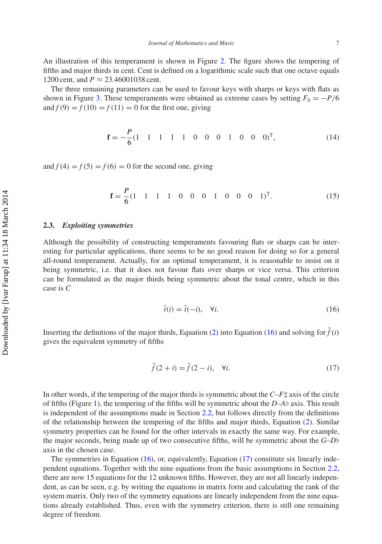An illustration of this temperament is shown in Figure [2.](#page-4-0) The figure shows the tempering of fifths and major thirds in cent. Cent is defined on a logarithmic scale such that one octave equals 1200 cent, and  $P \approx 23.46001038$  cent.

The three remaining parameters can be used to favour keys with sharps or keys with flats as shown in Figure [3.](#page-5-0) These temperaments were obtained as extreme cases by setting  $F_0 = -P/6$ and  $f(9) = f(10) = f(11) = 0$  for the first one, giving

$$
\mathbf{f} = -\frac{P}{6}(1 \quad 1 \quad 1 \quad 1 \quad 1 \quad 0 \quad 0 \quad 0 \quad 1 \quad 0 \quad 0 \quad 0)^{\mathrm{T}}, \tag{14}
$$

and  $f(4) = f(5) = f(6) = 0$  for the second one, giving

$$
\mathbf{f} = \frac{P}{6} (1 \quad 1 \quad 1 \quad 1 \quad 0 \quad 0 \quad 0 \quad 1 \quad 0 \quad 0 \quad 0 \quad 1)^{\mathrm{T}}. \tag{15}
$$

## <span id="page-6-2"></span>**2.3.** *Exploiting symmetries*

Although the possibility of constructing temperaments favouring flats or sharps can be interesting for particular applications, there seems to be no good reason for doing so for a general all-round temperament. Actually, for an optimal temperament, it is reasonable to insist on it being symmetric, i.e. that it does not favour flats over sharps or vice versa. This criterion can be formulated as the major thirds being symmetric about the tonal centre, which in this case is *C*

<span id="page-6-0"></span>
$$
\tilde{t}(i) = \tilde{t}(-i), \quad \forall i. \tag{16}
$$

Inserting the definitions of the major thirds, Equation [\(2\)](#page-2-2) into Equation [\(16\)](#page-6-0) and solving for  $\tilde{f}(i)$ gives the equivalent symmetry of fifths

<span id="page-6-1"></span>
$$
\tilde{f}(2+i) = \tilde{f}(2-i), \quad \forall i. \tag{17}
$$

In other words, if the tempering of the major thirds is symmetric about the  $C-F\sharp$  axis of the circle of fifths (Figure [1\)](#page-2-0), the tempering of the fifths will be symmetric about the *D*–*A*- axis. This result is independent of the assumptions made in Section [2.2,](#page-3-6) but follows directly from the definitions of the relationship between the tempering of the fifths and major thirds, Equation [\(2\)](#page-2-2). Similar symmetry properties can be found for the other intervals in exactly the same way. For example, the major seconds, being made up of two consecutive fifths, will be symmetric about the *G*–*D* axis in the chosen case.

The symmetries in Equation [\(16\)](#page-6-0), or, equivalently, Equation [\(17\)](#page-6-1) constitute six linearly independent equations. Together with the nine equations from the basic assumptions in Section [2.2,](#page-3-6) there are now 15 equations for the 12 unknown fifths. However, they are not all linearly independent, as can be seen, e.g. by writing the equations in matrix form and calculating the rank of the system matrix. Only two of the symmetry equations are linearly independent from the nine equations already established. Thus, even with the symmetry criterion, there is still one remaining degree of freedom.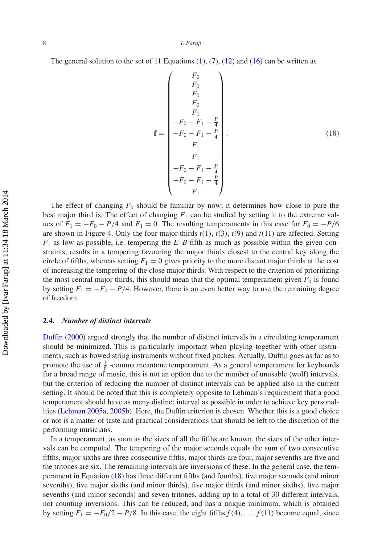The general solution to the set of 11 Equations  $(1)$ ,  $(7)$ ,  $(12)$  and  $(16)$  can be written as

<span id="page-7-0"></span>
$$
\mathbf{f} = \begin{pmatrix} F_0 \\ F_0 \\ F_0 \\ F_1 \\ F_1 \\ -F_0 - F_1 - \frac{P}{4} \\ -F_0 - F_1 - \frac{P}{4} \\ F_1 \\ F_1 \\ F_1 \\ -F_0 - F_1 - \frac{P}{4} \\ -F_0 - F_1 - \frac{P}{4} \\ F_1 \end{pmatrix} .
$$
 (18)

The effect of changing  $F_0$  should be familiar by now; it determines how close to pure the best major third is. The effect of changing  $F_1$  can be studied by setting it to the extreme values of  $F_1 = -F_0 - P/4$  and  $F_1 = 0$ . The resulting temperaments in this case for  $F_0 = -P/6$ are shown in Figure [4.](#page-8-0) Only the four major thirds *t*(1), *t*(3), *t*(9) and *t*(11) are affected. Setting *F*<sup>1</sup> as low as possible, i.e. tempering the *E*–*B* fifth as much as possible within the given constraints, results in a tempering favouring the major thirds closest to the central key along the circle of fifths, whereas setting  $F_1 = 0$  gives priority to the more distant major thirds at the cost of increasing the tempering of the close major thirds. With respect to the criterion of prioritizing the most central major thirds, this should mean that the optimal temperament given  $F_0$  is found by setting  $F_1 = -F_0 - P/4$ . However, there is an even better way to use the remaining degree of freedom.

## <span id="page-7-1"></span>**2.4.** *Number of distinct intervals*

Duffin [\(2000](#page-13-3)) argued strongly that the number of distinct intervals in a circulating temperament should be minimized. This is particularly important when playing together with other instruments, such as bowed string instruments without fixed pitches. Actually, Duffin goes as far as to promote the use of  $\frac{1}{6}$  -comma meantone temperament. As a general temperament for keyboards for a broad range of music, this is not an option due to the number of unusable (wolf) intervals, but the criterion of reducing the number of distinct intervals can be applied also in the current setting. It should be noted that this is completely opposite to Lehman's requirement that a good temperament should have as many distinct interval as possible in order to achieve key personalities [\(Lehman 2005a](#page-13-6), [2005b](#page-13-7)). Here, the Duffin criterion is chosen. Whether this is a good choice or not is a matter of taste and practical considerations that should be left to the discretion of the performing musicians.

In a temperament, as soon as the sizes of all the fifths are known, the sizes of the other intervals can be computed. The tempering of the major seconds equals the sum of two consecutive fifths, major sixths are three consecutive fifths, major thirds are four, major sevenths are five and the tritones are six. The remaining intervals are inversions of these. In the general case, the temperament in Equation [\(18\)](#page-7-0) has three different fifths (and fourths), five major seconds (and minor sevenths), five major sixths (and minor thirds), five major thirds (and minor sixths), five major sevenths (and minor seconds) and seven tritones, adding up to a total of 30 different intervals, not counting inversions. This can be reduced, and has a unique minimum, which is obtained by setting  $F_1 = -F_0/2 - P/8$ . In this case, the eight fifths  $f(4), \ldots, f(11)$  become equal, since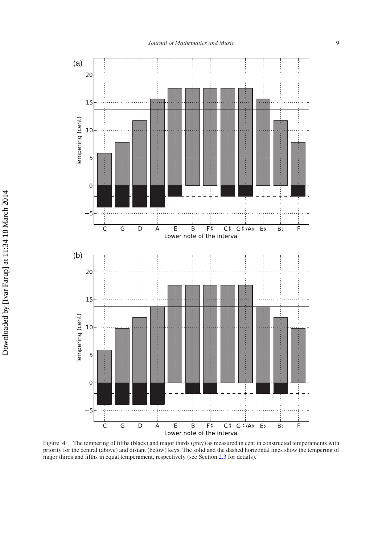

<span id="page-8-0"></span>Figure 4. The tempering of fifths (black) and major thirds (grey) as measured in cent in constructed temperaments with priority for the central (above) and distant (below) keys. The solid and the dashed horizontal lines show the tempering of major thirds and fifths in equal temperament, respectively (see Section [2.3](#page-6-2) for details).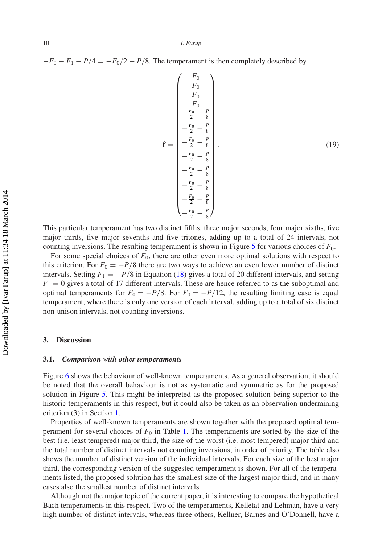$-F_0 - F_1 - P/4 = -F_0/2 - P/8$ . The temperament is then completely described by

<span id="page-9-0"></span>
$$
\begin{pmatrix}\nF_0 \\
F_0 \\
F_0 \\
-F_0 \\
-\frac{F_0}{2} - \frac{P}{8} \\
-\frac{F_0}{2} - \frac{P}{8} \\
-\frac{F_0}{2} - \frac{P}{8} \\
-\frac{F_0}{2} - \frac{P}{8} \\
-\frac{F_0}{2} - \frac{P}{8} \\
-\frac{F_0}{2} - \frac{P}{8} \\
-\frac{F_0}{2} - \frac{P}{8} \\
-\frac{F_0}{2} - \frac{P}{8} \\
-\frac{F_0}{2} - \frac{P}{8} \\
-\frac{F_0}{2} - \frac{P}{8}\n\end{pmatrix}
$$
\n(19)

This particular temperament has two distinct fifths, three major seconds, four major sixths, five major thirds, five major sevenths and five tritones, adding up to a total of 24 intervals, not counting inversions. The resulting temperament is shown in Figure [5](#page-10-0) for various choices of *F*0.

For some special choices of  $F_0$ , there are other even more optimal solutions with respect to this criterion. For  $F_0 = -P/8$  there are two ways to achieve an even lower number of distinct intervals. Setting  $F_1 = -P/8$  in Equation [\(18\)](#page-7-0) gives a total of 20 different intervals, and setting  $F_1 = 0$  gives a total of 17 different intervals. These are hence referred to as the suboptimal and optimal temperaments for  $F_0 = -P/8$ . For  $F_0 = -P/12$ , the resulting limiting case is equal temperament, where there is only one version of each interval, adding up to a total of six distinct non-unison intervals, not counting inversions.

#### **3. Discussion**

#### **3.1.** *Comparison with other temperaments*

Figure [6](#page-11-0) shows the behaviour of well-known temperaments. As a general observation, it should be noted that the overall behaviour is not as systematic and symmetric as for the proposed solution in Figure [5.](#page-10-0) This might be interpreted as the proposed solution being superior to the historic temperaments in this respect, but it could also be taken as an observation undermining criterion (3) in Section [1.](#page-0-1)

Properties of well-known temperaments are shown together with the proposed optimal temperament for several choices of  $F_0$  in Table [1.](#page-12-0) The temperaments are sorted by the size of the best (i.e. least tempered) major third, the size of the worst (i.e. most tempered) major third and the total number of distinct intervals not counting inversions, in order of priority. The table also shows the number of distinct version of the individual intervals. For each size of the best major third, the corresponding version of the suggested temperament is shown. For all of the temperaments listed, the proposed solution has the smallest size of the largest major third, and in many cases also the smallest number of distinct intervals.

Although not the major topic of the current paper, it is interesting to compare the hypothetical Bach temperaments in this respect. Two of the temperaments, Kelletat and Lehman, have a very high number of distinct intervals, whereas three others, Kellner, Barnes and O'Donnell, have a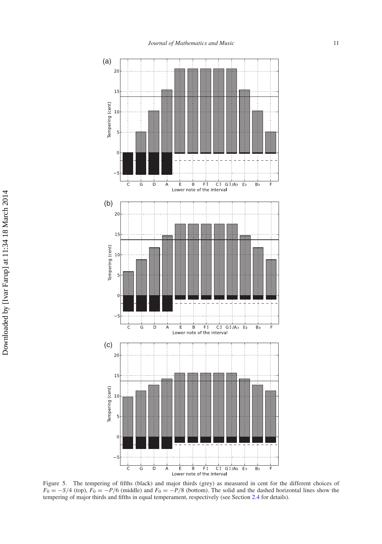

<span id="page-10-0"></span>Figure 5. The tempering of fifths (black) and major thirds (grey) as measured in cent for the different choices of  $F_0 = -S/4$  (top),  $F_0 = -P/6$  (middle) and  $F_0 = -P/8$  (bottom). The solid and the dashed horizontal lines show the tempering of major thirds and fifths in equal temperament, respectively (see Section [2.4](#page-7-1) for details).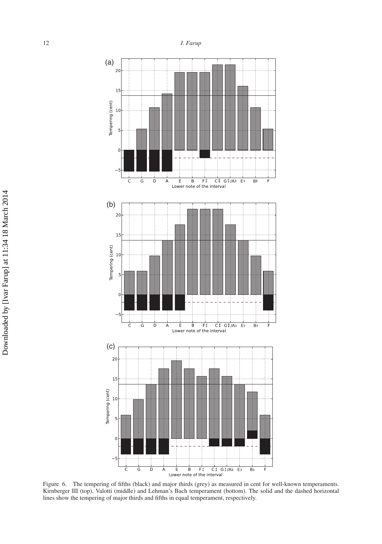

<span id="page-11-0"></span>Figure 6. The tempering of fifths (black) and major thirds (grey) as measured in cent for well-known temperaments. Kirnberger III (top), Valotti (middle) and Lehman's Bach temperament (bottom). The solid and the dashed horizontal lines show the tempering of major thirds and fifths in equal temperament, respectively.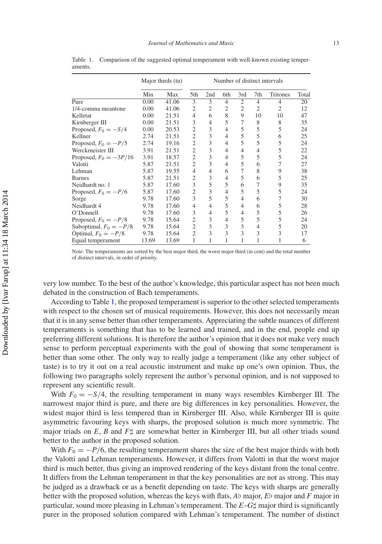|                          | Major thirds (tu) |       | Number of distinct intervals |                |     |                |                |                |       |
|--------------------------|-------------------|-------|------------------------------|----------------|-----|----------------|----------------|----------------|-------|
|                          | Min               | Max   | 5th                          | 2nd            | 6th | 3rd            | 7th            | Tritones       | Total |
| Pure                     | 0.00              | 41.06 | 3                            | 3              | 4   | $\overline{2}$ | $\overline{4}$ | $\overline{4}$ | 20    |
| 1/4-comma meantone       | 0.00              | 41.06 | 2                            | $\overline{2}$ | 2   | $\overline{2}$ | $\overline{2}$ | $\overline{c}$ | 12    |
| Kelletat                 | 0.00              | 21.51 | 4                            | 6              | 8   | 9              | 10             | 10             | 47    |
| Kirnberger III           | 0.00              | 21.51 | 3                            | 4              | 5   | 7              | 8              | 8              | 35    |
| Proposed, $F_0 = -S/4$   | 0.00              | 20.53 | $\overline{c}$               | 3              | 4   | 5              | 5              | 5              | 24    |
| Kellner                  | 2.74              | 21.51 | $\overline{c}$               | 3              | 4   | 5              | 5              | 6              | 25    |
| Proposed, $F_0 = -P/5$   | 2.74              | 19.16 | $\overline{c}$               | 3              | 4   | 5              | 5              | 5              | 24    |
| Werckmeister III         | 3.91              | 21.51 | $\overline{c}$               | 3              | 4   | 4              | 4              | 5              | 22    |
| Proposed, $F_0 = -3P/16$ | 3.91              | 18.57 | $\overline{2}$               | 3              | 4   | 5              | 5              | 5              | 24    |
| Valotti                  | 5.87              | 21.51 | $\overline{c}$               | 3              | 4   | 5              | 6              | 7              | 27    |
| Lehman                   | 5.87              | 19.55 | 4                            | 4              | 6   | 7              | 8              | 9              | 38    |
| <b>Barnes</b>            | 5.87              | 21.51 | $\overline{2}$               | 3              | 4   | 5              | 6              | 5              | 25    |
| Neidhardt no. 1          | 5.87              | 17.60 | 3                            | 5              | 5   | 6              | 7              | 9              | 35    |
| Proposed, $F_0 = -P/6$   | 5.87              | 17.60 | $\overline{c}$               | 3              | 4   | 5              | 5              | 5              | 24    |
| Sorge                    | 9.78              | 17.60 | 3                            | 5              | 5   | 4              | 6              | 7              | 30    |
| Neidhardt 4              | 9.78              | 17.60 | 4                            | 4              | 5   | 4              | 6              | 5              | 28    |
| O'Donnell                | 9.78              | 17.60 | 3                            | 4              | 5   | 4              | 5              | 5              | 26    |
| Proposed, $F_0 = -P/8$   | 9.78              | 15.64 | 2                            | 3              | 4   | 5              | 5              | 5              | 24    |
| Suboptimal, $F_0 = -P/8$ | 9.78              | 15.64 | $\overline{2}$               | 3              | 3   | 3              | 4              | 5              | 20    |
| Optimal, $F_0 = -P/8$    | 9.78              | 15.64 | $\overline{2}$               | 3              | 3   | 3              | 3              | 3              | 17    |
| Equal temperament        | 13.69             | 13.69 | 1                            |                |     |                | 1              |                | 6     |

<span id="page-12-0"></span>Table 1. Comparison of the suggested optimal temperament with well-known existing temperaments.

Note: The temperaments are sorted by the best major third, the worst major third (in cent) and the total number of distinct intervals, in order of priority.

very low number. To the best of the author's knowledge, this particular aspect has not been much debated in the construction of Bach temperaments.

According to Table [1,](#page-12-0) the proposed temperament is superior to the other selected temperaments with respect to the chosen set of musical requirements. However, this does not necessarily mean that it is in any sense better than other temperaments. Appreciating the subtle nuances of different temperaments is something that has to be learned and trained, and in the end, people end up preferring different solutions. It is therefore the author's opinion that it does not make very much sense to perform perceptual experiments with the goal of showing that some temperament is better than some other. The only way to really judge a temperament (like any other subject of taste) is to try it out on a real acoustic instrument and make up one's own opinion. Thus, the following two paragraphs solely represent the author's personal opinion, and is not supposed to represent any scientific result.

With  $F_0 = -\frac{S}{4}$ , the resulting temperament in many ways resembles Kirnberger III. The narrowest major third is pure, and there are big differences in key personalities. However, the widest major third is less tempered than in Kirnberger III. Also, while Kirnberger III is quite asymmetric favouring keys with sharps, the proposed solution is much more symmetric. The major triads on  $E$ ,  $B$  and  $F\sharp$  are somewhat better in Kirnberger III, but all other triads sound better to the author in the proposed solution.

With  $F_0 = -P/6$ , the resulting temperament shares the size of the best major thirds with both the Valotti and Lehman temperaments. However, it differs from Valotti in that the worst major third is much better, thus giving an improved rendering of the keys distant from the tonal centre. It differs from the Lehman temperament in that the key personalities are not as strong. This may be judged as a drawback or as a benefit depending on taste. The keys with sharps are generally better with the proposed solution, whereas the keys with flats,  $A\flat$  major,  $E\flat$  major and  $F$  major in particular, sound more pleasing in Lehman's temperament. The  $E$ – $G\sharp$  major third is significantly purer in the proposed solution compared with Lehman's temperament. The number of distinct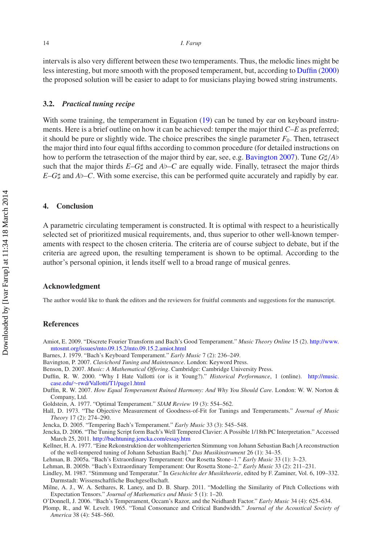intervals is also very different between these two temperaments. Thus, the melodic lines might be less interesting, but more smooth with the proposed temperament, but, according to [Duffin](#page-13-3) [\(2000\)](#page-13-3) the proposed solution will be easier to adapt to for musicians playing bowed string instruments.

#### **3.2.** *Practical tuning recipe*

With some training, the temperament in Equation [\(19\)](#page-9-0) can be tuned by ear on keyboard instruments. Here is a brief outline on how it can be achieved: temper the major third *C*–*E* as preferred; it should be pure or slightly wide. The choice prescribes the single parameter  $F_0$ . Then, tetrasect the major third into four equal fifths according to common procedure (for detailed instructions on how to perform the tetrasection of the major third by ear, see, e.g. [Bavington 2007\)](#page-13-16). Tune *G*/*A* such that the major thirds  $E - G \sharp$  and  $Ab - C$  are equally wide. Finally, tetrasect the major thirds  $E-G\sharp$  and  $Ab-C$ . With some exercise, this can be performed quite accurately and rapidly by ear.

## **4. Conclusion**

A parametric circulating temperament is constructed. It is optimal with respect to a heuristically selected set of prioritized musical requirements, and, thus superior to other well-known temperaments with respect to the chosen criteria. The criteria are of course subject to debate, but if the criteria are agreed upon, the resulting temperament is shown to be optimal. According to the author's personal opinion, it lends itself well to a broad range of musical genres.

## **Acknowledgment**

The author would like to thank the editors and the reviewers for fruitful comments and suggestions for the manuscript.

#### **References**

- <span id="page-13-11"></span>Amiot, E. 2009. "Discrete Fourier Transform and Bach's Good Temperament." *Music Theory Online* 15 (2). [http://www.](http://www.mtosmt.org/issues/mto.09.15.2/mto.09.15.2.amiot.html) [mtosmt.org/issues/mto.09.15.2/mto.09.15.2.amiot.html](http://www.mtosmt.org/issues/mto.09.15.2/mto.09.15.2.amiot.html)
- <span id="page-13-5"></span>Barnes, J. 1979. "Bach's Keyboard Temperament." *Early Music* 7 (2): 236–249.
- <span id="page-13-16"></span>Bavington, P. 2007. *Clavichord Tuning and Maintenance*. London: Keyword Press.
- <span id="page-13-0"></span>Benson, D. 2007. *Music: A Mathematical Offering*. Cambridge: Cambridge University Press.
- <span id="page-13-3"></span>Duffin, R. W. 2000. "Why I Hate Vallotti (or is it Young?)." *Historical Performance*, 1 (online). [http://music.](http://music.case.edu/~rwd/Vallotti/T1/page1.html) case.edu/∼[rwd/Vallotti/T1/page1.html](http://music.case.edu/~rwd/Vallotti/T1/page1.html)
- <span id="page-13-2"></span>Duffin, R. W. 2007. *How Equal Temperament Ruined Harmony: And Why You Should Care*. London: W. W. Norton & Company, Ltd.
- <span id="page-13-13"></span>Goldstein, A. 1977. "Optimal Temperament." *SIAM Review* 19 (3): 554–562.
- <span id="page-13-12"></span>Hall, D. 1973. "The Objective Measurement of Goodness-of-Fit for Tunings and Temperaments." *Journal of Music Theory* 17 (2): 274–290.
- <span id="page-13-8"></span>Jencka, D. 2005. "Tempering Bach's Temperament." *Early Music* 33 (3): 545–548.
- <span id="page-13-9"></span>Jencka, D. 2006. "The Tuning Script form Bach's Well Tempered Clavier: A Possible 1/18th PC Interpretation." Accessed March 25, 2011. <http://bachtuning.jencka.com/essay.htm>
- <span id="page-13-4"></span>Kellner, H. A. 1977. "Eine Rekonstruktion der wohltemperierten Stimmung von Johann Sebastian Bach [A reconstruction of the well-tempered tuning of Johann Sebastian Bach]." *Das Musikinstrument* 26 (1): 34–35.
- <span id="page-13-6"></span>Lehman, B. 2005a. "Bach's Extraordinary Temperament: Our Rosetta Stone–1." *Early Music* 33 (1): 3–23.
- <span id="page-13-7"></span>Lehman, B. 2005b. "Bach's Extraordinary Temperament: Our Rosetta Stone–2." *Early Music* 33 (2): 211–231.
- <span id="page-13-1"></span>Lindley, M. 1987. "Stimmung und Temperatur." In *Geschichte der Musiktheorie*, edited by F. Zaminer, Vol. 6, 109–332. Darmstadt: Wissenschaftliche Buchgesellschaft.
- <span id="page-13-15"></span>Milne, A. J., W. A. Sethares, R. Laney, and D. B. Sharp. 2011. "Modelling the Similarity of Pitch Collections with Expectation Tensors." *Journal of Mathematics and Music* 5 (1): 1–20.
- <span id="page-13-10"></span>O'Donnell, J. 2006. "Bach's Temperament, Occam's Razor, and the Neidhardt Factor." *Early Music* 34 (4): 625–634.
- <span id="page-13-14"></span>Plomp, R., and W. Levelt. 1965. "Tonal Consonance and Critical Bandwidth." *Journal of the Acoustical Society of America* 38 (4): 548–560.